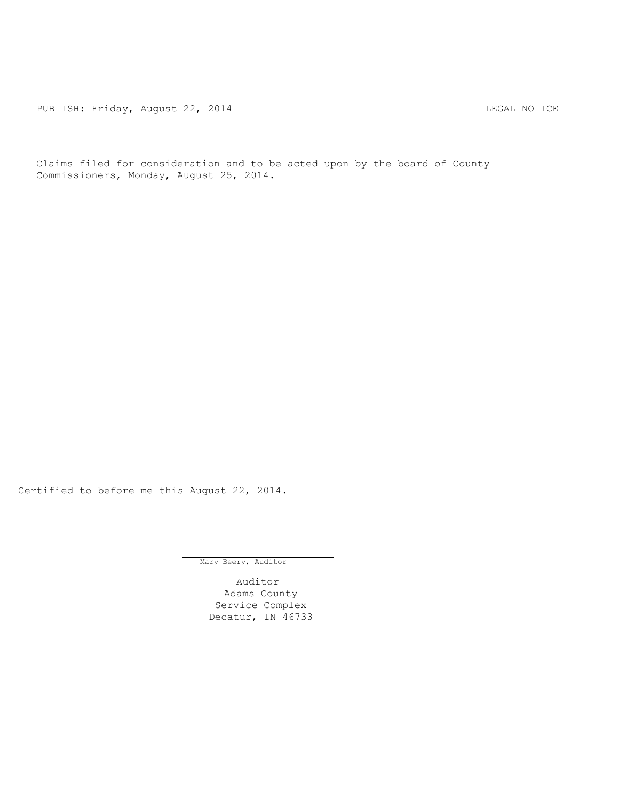PUBLISH: Friday, August 22, 2014 CHARL STAR STAR LEGAL NOTICE

Claims filed for consideration and to be acted upon by the board of County Commissioners, Monday, August 25, 2014.

Certified to before me this August 22, 2014.

Mary Beery, Auditor

Auditor Adams County Service Complex Decatur, IN 46733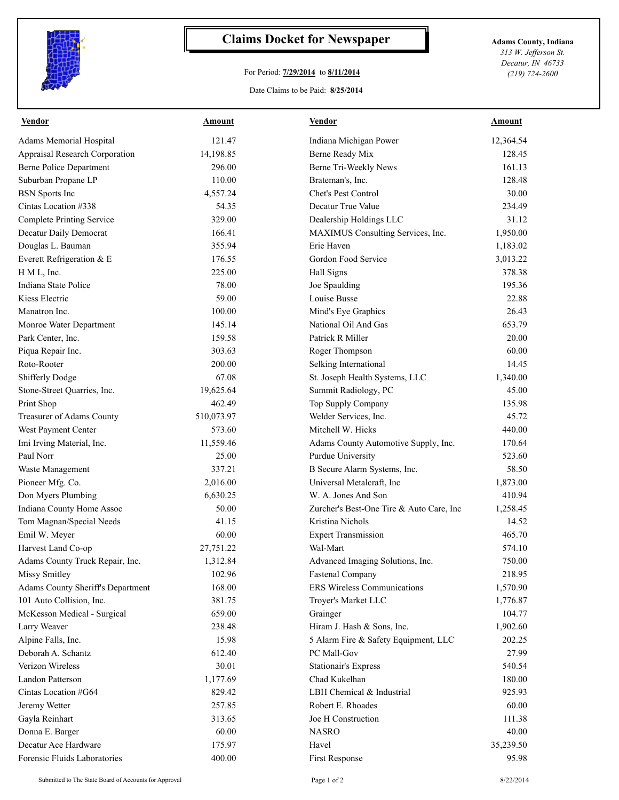

## **Claims Docket for Newspaper Adams County, Indiana**

## For Period: **7/29/2014** to **8/11/2014**

Date Claims to be Paid: **8/25/2014**

*313 W. Jefferson St. Decatur, IN 46733 (219) 724-2600*

| Vendor                            | Amount     | Vendor                                   | Amount    |
|-----------------------------------|------------|------------------------------------------|-----------|
| Adams Memorial Hospital           | 121.47     | Indiana Michigan Power                   | 12,364.54 |
| Appraisal Research Corporation    | 14,198.85  | Berne Ready Mix                          | 128.45    |
| <b>Berne Police Department</b>    | 296.00     | Berne Tri-Weekly News                    | 161.13    |
| Suburban Propane LP               | 110.00     | Brateman's, Inc.                         | 128.48    |
| <b>BSN</b> Sports Inc             | 4,557.24   | Chet's Pest Control                      | 30.00     |
| Cintas Location #338              | 54.35      | Decatur True Value                       | 234.49    |
| <b>Complete Printing Service</b>  | 329.00     | Dealership Holdings LLC                  | 31.12     |
| Decatur Daily Democrat            | 166.41     | MAXIMUS Consulting Services, Inc.        | 1,950.00  |
| Douglas L. Bauman                 | 355.94     | Erie Haven                               | 1,183.02  |
| Everett Refrigeration & E         | 176.55     | Gordon Food Service                      | 3,013.22  |
| H M L, Inc.                       | 225.00     | Hall Signs                               | 378.38    |
| Indiana State Police              | 78.00      | Joe Spaulding                            | 195.36    |
| Kiess Electric                    | 59.00      | Louise Busse                             | 22.88     |
| Manatron Inc.                     | 100.00     | Mind's Eye Graphics                      | 26.43     |
| Monroe Water Department           | 145.14     | National Oil And Gas                     | 653.79    |
| Park Center, Inc.                 | 159.58     | Patrick R Miller                         | 20.00     |
| Piqua Repair Inc.                 | 303.63     | Roger Thompson                           | 60.00     |
| Roto-Rooter                       | 200.00     | Selking International                    | 14.45     |
| <b>Shifferly Dodge</b>            | 67.08      | St. Joseph Health Systems, LLC           | 1,340.00  |
| Stone-Street Quarries, Inc.       | 19,625.64  | Summit Radiology, PC                     | 45.00     |
| Print Shop                        | 462.49     | Top Supply Company                       | 135.98    |
| Treasurer of Adams County         | 510,073.97 | Welder Services, Inc.                    | 45.72     |
| West Payment Center               | 573.60     | Mitchell W. Hicks                        | 440.00    |
| Imi Irving Material, Inc.         | 11,559.46  | Adams County Automotive Supply, Inc.     | 170.64    |
| Paul Norr                         | 25.00      | Purdue University                        | 523.60    |
| Waste Management                  | 337.21     | B Secure Alarm Systems, Inc.             | 58.50     |
| Pioneer Mfg. Co.                  | 2,016.00   | Universal Metalcraft, Inc                | 1,873.00  |
| Don Myers Plumbing                | 6,630.25   | W. A. Jones And Son                      | 410.94    |
| Indiana County Home Assoc         | 50.00      | Zurcher's Best-One Tire & Auto Care, Inc | 1,258.45  |
| Tom Magnan/Special Needs          | 41.15      | Kristina Nichols                         | 14.52     |
| Emil W. Meyer                     | 60.00      | <b>Expert Transmission</b>               | 465.70    |
| Harvest Land Co-op                | 27,751.22  | Wal-Mart                                 | 574.10    |
| Adams County Truck Repair, Inc.   | 1,312.84   | Advanced Imaging Solutions, Inc.         | 750.00    |
| Missy Smitley                     | 102.96     | <b>Fastenal Company</b>                  | 218.95    |
| Adams County Sheriff's Department | 168.00     | <b>ERS Wireless Communications</b>       | 1,570.90  |
| 101 Auto Collision, Inc.          | 381.75     | Troyer's Market LLC                      | 1,776.87  |
| McKesson Medical - Surgical       | 659.00     | Grainger                                 | 104.77    |
| Larry Weaver                      | 238.48     | Hiram J. Hash & Sons, Inc.               | 1,902.60  |
| Alpine Falls, Inc.                | 15.98      | 5 Alarm Fire & Safety Equipment, LLC     | 202.25    |
| Deborah A. Schantz                | 612.40     | PC Mall-Gov                              | 27.99     |
| Verizon Wireless                  | 30.01      | <b>Stationair's Express</b>              | 540.54    |
| Landon Patterson                  | 1,177.69   | Chad Kukelhan                            | 180.00    |
| Cintas Location #G64              | 829.42     | LBH Chemical & Industrial                | 925.93    |
| Jeremy Wetter                     | 257.85     | Robert E. Rhoades                        | 60.00     |
| Gayla Reinhart                    | 313.65     | Joe H Construction                       | 111.38    |
| Donna E. Barger                   | 60.00      | <b>NASRO</b>                             | 40.00     |
| Decatur Ace Hardware              | 175.97     | Havel                                    | 35,239.50 |
| Forensic Fluids Laboratories      | 400.00     | First Response                           | 95.98     |